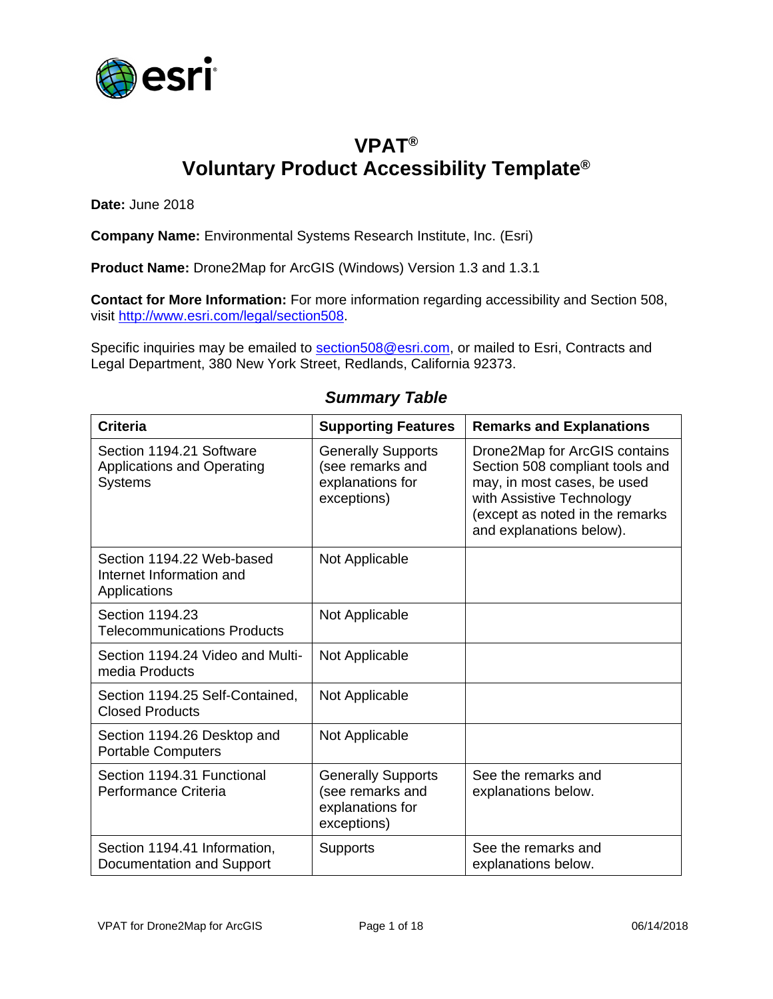

### **VPAT® Voluntary Product Accessibility Template®**

**Date:** June 2018

**Company Name:** Environmental Systems Research Institute, Inc. (Esri)

**Product Name:** Drone2Map for ArcGIS (Windows) Version 1.3 and 1.3.1

**Contact for More Information:** For more information regarding accessibility and Section 508, visit [http://www.esri.com/legal/section508.](http://www.esri.com/legal/section508)

Specific inquiries may be emailed to [section508@esri.com,](mailto:section508@esri.com) or mailed to Esri, Contracts and Legal Department, 380 New York Street, Redlands, California 92373.

| <b>Criteria</b>                                                                 | <b>Supporting Features</b>                                                       | <b>Remarks and Explanations</b>                                                                                                                                                             |
|---------------------------------------------------------------------------------|----------------------------------------------------------------------------------|---------------------------------------------------------------------------------------------------------------------------------------------------------------------------------------------|
| Section 1194.21 Software<br><b>Applications and Operating</b><br><b>Systems</b> | <b>Generally Supports</b><br>(see remarks and<br>explanations for<br>exceptions) | Drone2Map for ArcGIS contains<br>Section 508 compliant tools and<br>may, in most cases, be used<br>with Assistive Technology<br>(except as noted in the remarks<br>and explanations below). |
| Section 1194.22 Web-based<br>Internet Information and<br>Applications           | Not Applicable                                                                   |                                                                                                                                                                                             |
| Section 1194.23<br><b>Telecommunications Products</b>                           | Not Applicable                                                                   |                                                                                                                                                                                             |
| Section 1194.24 Video and Multi-<br>media Products                              | Not Applicable                                                                   |                                                                                                                                                                                             |
| Section 1194.25 Self-Contained,<br><b>Closed Products</b>                       | Not Applicable                                                                   |                                                                                                                                                                                             |
| Section 1194.26 Desktop and<br><b>Portable Computers</b>                        | Not Applicable                                                                   |                                                                                                                                                                                             |
| Section 1194.31 Functional<br>Performance Criteria                              | <b>Generally Supports</b><br>(see remarks and<br>explanations for<br>exceptions) | See the remarks and<br>explanations below.                                                                                                                                                  |
| Section 1194.41 Information,<br>Documentation and Support                       | <b>Supports</b>                                                                  | See the remarks and<br>explanations below.                                                                                                                                                  |

#### *Summary Table*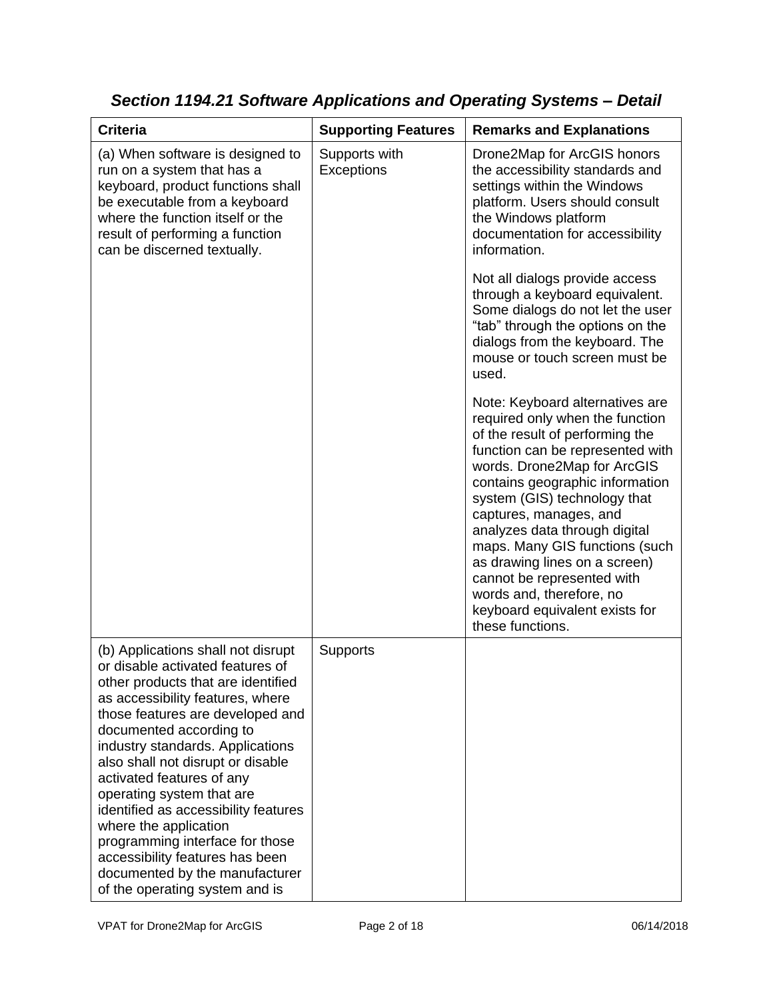| <b>Criteria</b>                                                                                                                                                                                                                                                                                                                                                                                                                                                                                                                                               | <b>Supporting Features</b>  | <b>Remarks and Explanations</b>                                                                                                                                                                                                                                                                                                                                                                                                                                                           |
|---------------------------------------------------------------------------------------------------------------------------------------------------------------------------------------------------------------------------------------------------------------------------------------------------------------------------------------------------------------------------------------------------------------------------------------------------------------------------------------------------------------------------------------------------------------|-----------------------------|-------------------------------------------------------------------------------------------------------------------------------------------------------------------------------------------------------------------------------------------------------------------------------------------------------------------------------------------------------------------------------------------------------------------------------------------------------------------------------------------|
| (a) When software is designed to<br>run on a system that has a<br>keyboard, product functions shall<br>be executable from a keyboard<br>where the function itself or the<br>result of performing a function<br>can be discerned textually.                                                                                                                                                                                                                                                                                                                    | Supports with<br>Exceptions | Drone2Map for ArcGIS honors<br>the accessibility standards and<br>settings within the Windows<br>platform. Users should consult<br>the Windows platform<br>documentation for accessibility<br>information.                                                                                                                                                                                                                                                                                |
|                                                                                                                                                                                                                                                                                                                                                                                                                                                                                                                                                               |                             | Not all dialogs provide access<br>through a keyboard equivalent.<br>Some dialogs do not let the user<br>"tab" through the options on the<br>dialogs from the keyboard. The<br>mouse or touch screen must be<br>used.                                                                                                                                                                                                                                                                      |
|                                                                                                                                                                                                                                                                                                                                                                                                                                                                                                                                                               |                             | Note: Keyboard alternatives are<br>required only when the function<br>of the result of performing the<br>function can be represented with<br>words. Drone2Map for ArcGIS<br>contains geographic information<br>system (GIS) technology that<br>captures, manages, and<br>analyzes data through digital<br>maps. Many GIS functions (such<br>as drawing lines on a screen)<br>cannot be represented with<br>words and, therefore, no<br>keyboard equivalent exists for<br>these functions. |
| (b) Applications shall not disrupt<br>or disable activated features of<br>other products that are identified<br>as accessibility features, where<br>those features are developed and<br>documented according to<br>industry standards. Applications<br>also shall not disrupt or disable<br>activated features of any<br>operating system that are<br>identified as accessibility features<br>where the application<br>programming interface for those<br>accessibility features has been<br>documented by the manufacturer<br>of the operating system and is | Supports                    |                                                                                                                                                                                                                                                                                                                                                                                                                                                                                           |

*Section 1194.21 Software Applications and Operating Systems – Detail*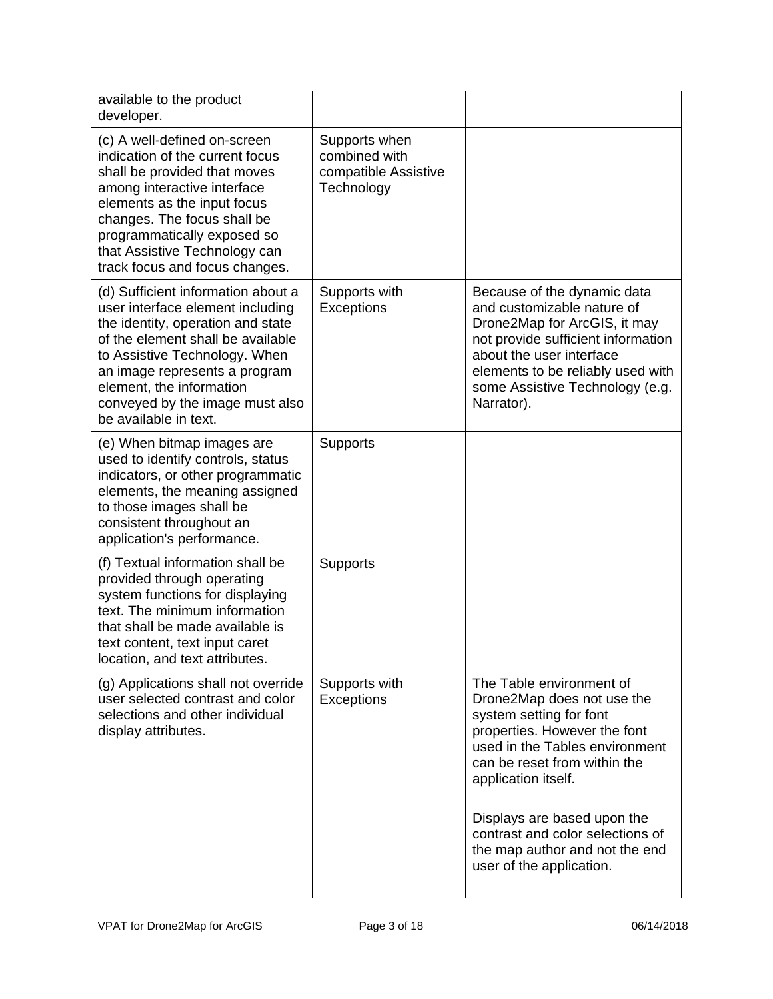| available to the product<br>developer.                                                                                                                                                                                                                                                                     |                                                                      |                                                                                                                                                                                                                                                   |
|------------------------------------------------------------------------------------------------------------------------------------------------------------------------------------------------------------------------------------------------------------------------------------------------------------|----------------------------------------------------------------------|---------------------------------------------------------------------------------------------------------------------------------------------------------------------------------------------------------------------------------------------------|
| (c) A well-defined on-screen<br>indication of the current focus<br>shall be provided that moves<br>among interactive interface<br>elements as the input focus<br>changes. The focus shall be<br>programmatically exposed so<br>that Assistive Technology can<br>track focus and focus changes.             | Supports when<br>combined with<br>compatible Assistive<br>Technology |                                                                                                                                                                                                                                                   |
| (d) Sufficient information about a<br>user interface element including<br>the identity, operation and state<br>of the element shall be available<br>to Assistive Technology. When<br>an image represents a program<br>element, the information<br>conveyed by the image must also<br>be available in text. | Supports with<br>Exceptions                                          | Because of the dynamic data<br>and customizable nature of<br>Drone2Map for ArcGIS, it may<br>not provide sufficient information<br>about the user interface<br>elements to be reliably used with<br>some Assistive Technology (e.g.<br>Narrator). |
| (e) When bitmap images are<br>used to identify controls, status<br>indicators, or other programmatic<br>elements, the meaning assigned<br>to those images shall be<br>consistent throughout an<br>application's performance.                                                                               | Supports                                                             |                                                                                                                                                                                                                                                   |
| (f) Textual information shall be<br>provided through operating<br>system functions for displaying<br>text. The minimum information<br>that shall be made available is<br>text content, text input caret<br>location, and text attributes.                                                                  | Supports                                                             |                                                                                                                                                                                                                                                   |
| (g) Applications shall not override<br>user selected contrast and color<br>selections and other individual<br>display attributes.                                                                                                                                                                          | Supports with<br><b>Exceptions</b>                                   | The Table environment of<br>Drone2Map does not use the<br>system setting for font<br>properties. However the font<br>used in the Tables environment<br>can be reset from within the<br>application itself.                                        |
|                                                                                                                                                                                                                                                                                                            |                                                                      | Displays are based upon the<br>contrast and color selections of<br>the map author and not the end<br>user of the application.                                                                                                                     |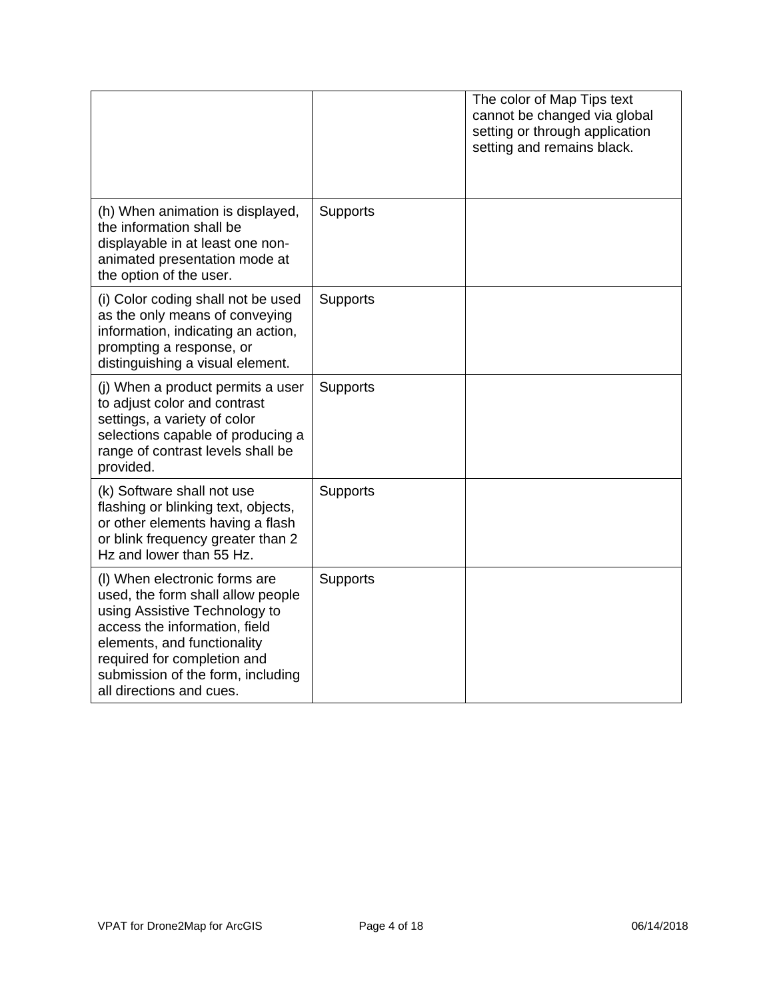|                                                                                                                                                                                                                                                                     |          | The color of Map Tips text<br>cannot be changed via global<br>setting or through application<br>setting and remains black. |
|---------------------------------------------------------------------------------------------------------------------------------------------------------------------------------------------------------------------------------------------------------------------|----------|----------------------------------------------------------------------------------------------------------------------------|
| (h) When animation is displayed,<br>the information shall be<br>displayable in at least one non-<br>animated presentation mode at<br>the option of the user.                                                                                                        | Supports |                                                                                                                            |
| (i) Color coding shall not be used<br>as the only means of conveying<br>information, indicating an action,<br>prompting a response, or<br>distinguishing a visual element.                                                                                          | Supports |                                                                                                                            |
| (j) When a product permits a user<br>to adjust color and contrast<br>settings, a variety of color<br>selections capable of producing a<br>range of contrast levels shall be<br>provided.                                                                            | Supports |                                                                                                                            |
| (k) Software shall not use<br>flashing or blinking text, objects,<br>or other elements having a flash<br>or blink frequency greater than 2<br>Hz and lower than 55 Hz.                                                                                              | Supports |                                                                                                                            |
| (I) When electronic forms are<br>used, the form shall allow people<br>using Assistive Technology to<br>access the information, field<br>elements, and functionality<br>required for completion and<br>submission of the form, including<br>all directions and cues. | Supports |                                                                                                                            |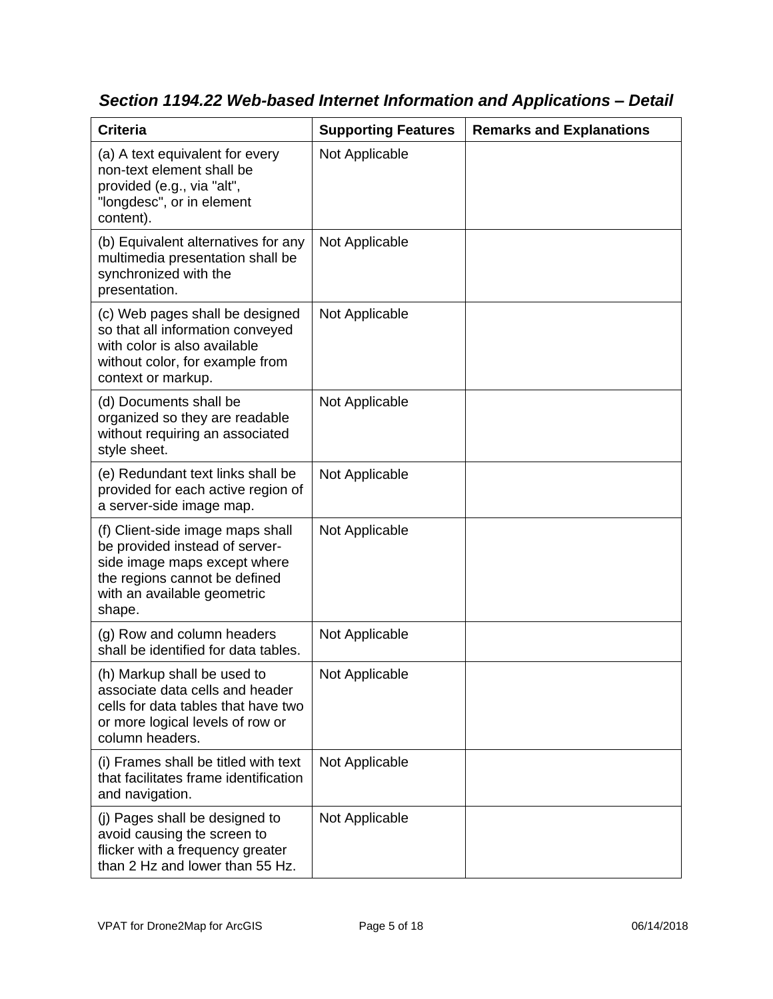| <b>Criteria</b>                                                                                                                                                              | <b>Supporting Features</b> | <b>Remarks and Explanations</b> |
|------------------------------------------------------------------------------------------------------------------------------------------------------------------------------|----------------------------|---------------------------------|
| (a) A text equivalent for every<br>non-text element shall be<br>provided (e.g., via "alt",<br>"longdesc", or in element<br>content).                                         | Not Applicable             |                                 |
| (b) Equivalent alternatives for any<br>multimedia presentation shall be<br>synchronized with the<br>presentation.                                                            | Not Applicable             |                                 |
| (c) Web pages shall be designed<br>so that all information conveyed<br>with color is also available<br>without color, for example from<br>context or markup.                 | Not Applicable             |                                 |
| (d) Documents shall be<br>organized so they are readable<br>without requiring an associated<br>style sheet.                                                                  | Not Applicable             |                                 |
| (e) Redundant text links shall be<br>provided for each active region of<br>a server-side image map.                                                                          | Not Applicable             |                                 |
| (f) Client-side image maps shall<br>be provided instead of server-<br>side image maps except where<br>the regions cannot be defined<br>with an available geometric<br>shape. | Not Applicable             |                                 |
| (g) Row and column headers<br>shall be identified for data tables.                                                                                                           | Not Applicable             |                                 |
| (h) Markup shall be used to<br>associate data cells and header<br>cells for data tables that have two<br>or more logical levels of row or<br>column headers.                 | Not Applicable             |                                 |
| (i) Frames shall be titled with text<br>that facilitates frame identification<br>and navigation.                                                                             | Not Applicable             |                                 |
| (j) Pages shall be designed to<br>avoid causing the screen to<br>flicker with a frequency greater<br>than 2 Hz and lower than 55 Hz.                                         | Not Applicable             |                                 |

*Section 1194.22 Web-based Internet Information and Applications – Detail*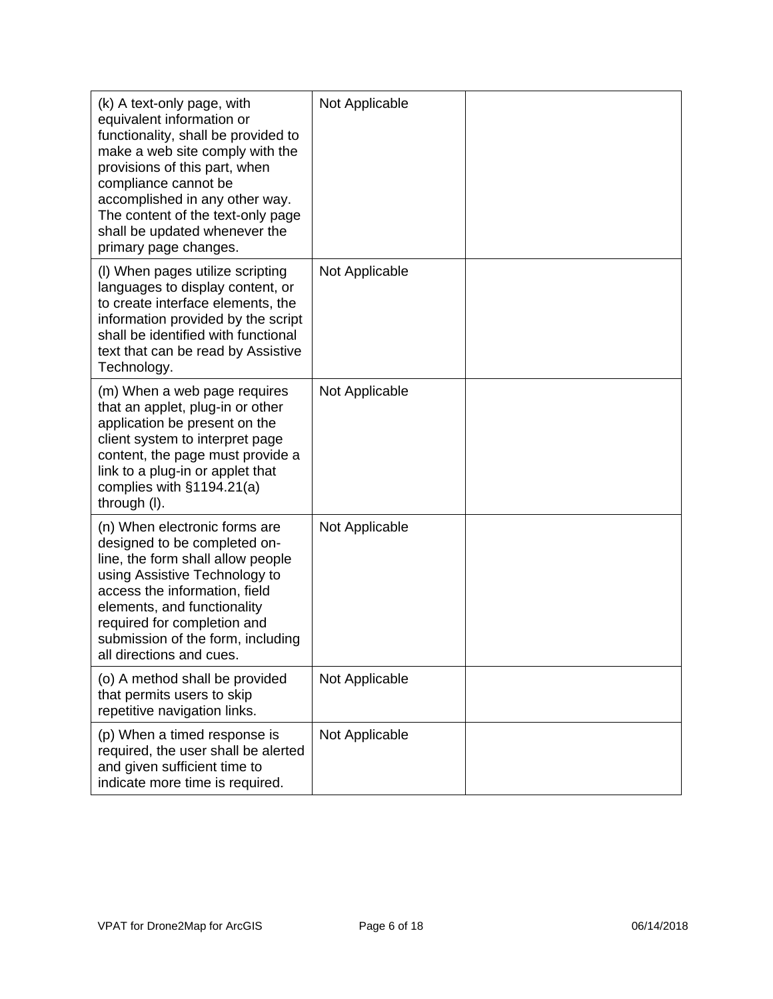| (k) A text-only page, with<br>equivalent information or<br>functionality, shall be provided to<br>make a web site comply with the<br>provisions of this part, when<br>compliance cannot be<br>accomplished in any other way.<br>The content of the text-only page<br>shall be updated whenever the<br>primary page changes. | Not Applicable |  |
|-----------------------------------------------------------------------------------------------------------------------------------------------------------------------------------------------------------------------------------------------------------------------------------------------------------------------------|----------------|--|
| (I) When pages utilize scripting<br>languages to display content, or<br>to create interface elements, the<br>information provided by the script<br>shall be identified with functional<br>text that can be read by Assistive<br>Technology.                                                                                 | Not Applicable |  |
| (m) When a web page requires<br>that an applet, plug-in or other<br>application be present on the<br>client system to interpret page<br>content, the page must provide a<br>link to a plug-in or applet that<br>complies with $§1194.21(a)$<br>through (I).                                                                 | Not Applicable |  |
| (n) When electronic forms are<br>designed to be completed on-<br>line, the form shall allow people<br>using Assistive Technology to<br>access the information, field<br>elements, and functionality<br>required for completion and<br>submission of the form, including<br>all directions and cues.                         | Not Applicable |  |
| (o) A method shall be provided<br>that permits users to skip<br>repetitive navigation links.                                                                                                                                                                                                                                | Not Applicable |  |
| (p) When a timed response is<br>required, the user shall be alerted<br>and given sufficient time to<br>indicate more time is required.                                                                                                                                                                                      | Not Applicable |  |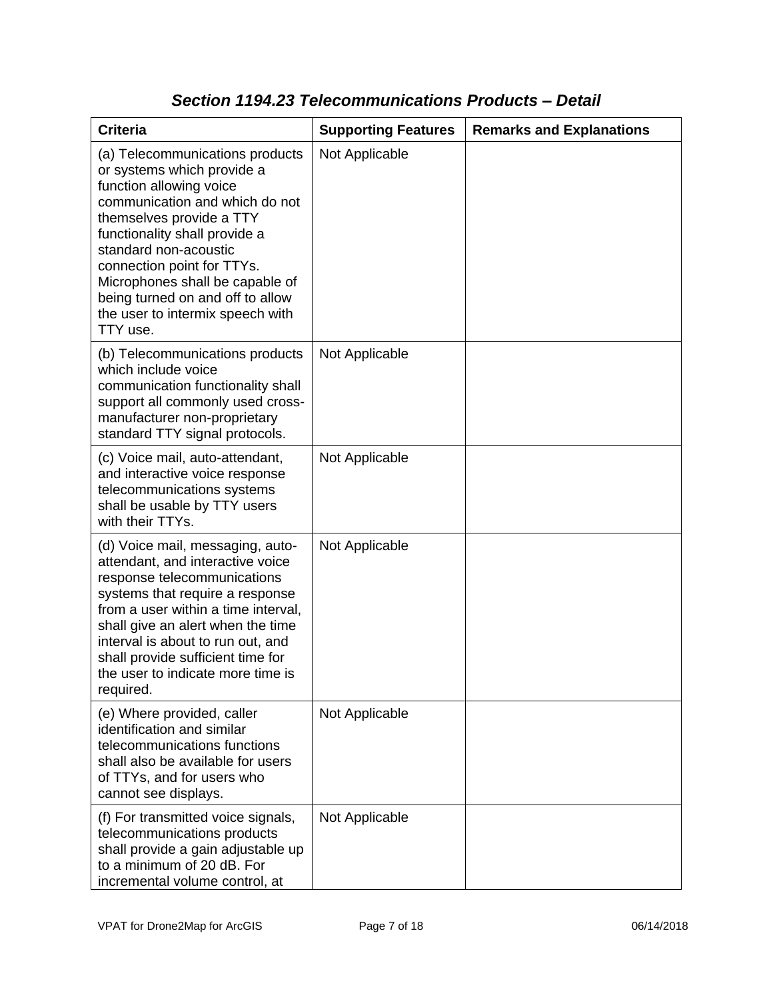| <b>Criteria</b>                                                                                                                                                                                                                                                                                                                                                       | <b>Supporting Features</b> | <b>Remarks and Explanations</b> |
|-----------------------------------------------------------------------------------------------------------------------------------------------------------------------------------------------------------------------------------------------------------------------------------------------------------------------------------------------------------------------|----------------------------|---------------------------------|
| (a) Telecommunications products<br>or systems which provide a<br>function allowing voice<br>communication and which do not<br>themselves provide a TTY<br>functionality shall provide a<br>standard non-acoustic<br>connection point for TTYs.<br>Microphones shall be capable of<br>being turned on and off to allow<br>the user to intermix speech with<br>TTY use. | Not Applicable             |                                 |
| (b) Telecommunications products<br>which include voice<br>communication functionality shall<br>support all commonly used cross-<br>manufacturer non-proprietary<br>standard TTY signal protocols.                                                                                                                                                                     | Not Applicable             |                                 |
| (c) Voice mail, auto-attendant,<br>and interactive voice response<br>telecommunications systems<br>shall be usable by TTY users<br>with their TTYs.                                                                                                                                                                                                                   | Not Applicable             |                                 |
| (d) Voice mail, messaging, auto-<br>attendant, and interactive voice<br>response telecommunications<br>systems that require a response<br>from a user within a time interval,<br>shall give an alert when the time<br>interval is about to run out, and<br>shall provide sufficient time for<br>the user to indicate more time is<br>required.                        | Not Applicable             |                                 |
| (e) Where provided, caller<br>identification and similar<br>telecommunications functions<br>shall also be available for users<br>of TTYs, and for users who<br>cannot see displays.                                                                                                                                                                                   | Not Applicable             |                                 |
| (f) For transmitted voice signals,<br>telecommunications products<br>shall provide a gain adjustable up<br>to a minimum of 20 dB. For<br>incremental volume control, at                                                                                                                                                                                               | Not Applicable             |                                 |

### *Section 1194.23 Telecommunications Products – Detail*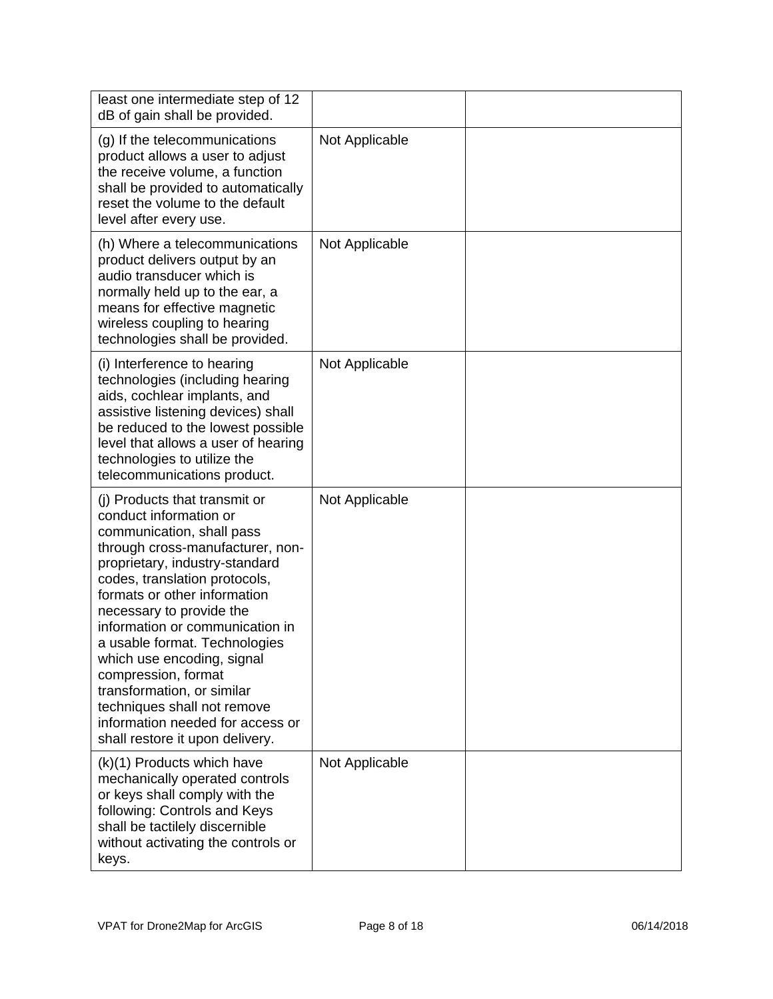| least one intermediate step of 12<br>dB of gain shall be provided.                                                                                                                                                                                                                                                                                                                                                                                                                                                   |                |  |
|----------------------------------------------------------------------------------------------------------------------------------------------------------------------------------------------------------------------------------------------------------------------------------------------------------------------------------------------------------------------------------------------------------------------------------------------------------------------------------------------------------------------|----------------|--|
| (g) If the telecommunications<br>product allows a user to adjust<br>the receive volume, a function<br>shall be provided to automatically<br>reset the volume to the default<br>level after every use.                                                                                                                                                                                                                                                                                                                | Not Applicable |  |
| (h) Where a telecommunications<br>product delivers output by an<br>audio transducer which is<br>normally held up to the ear, a<br>means for effective magnetic<br>wireless coupling to hearing<br>technologies shall be provided.                                                                                                                                                                                                                                                                                    | Not Applicable |  |
| (i) Interference to hearing<br>technologies (including hearing<br>aids, cochlear implants, and<br>assistive listening devices) shall<br>be reduced to the lowest possible<br>level that allows a user of hearing<br>technologies to utilize the<br>telecommunications product.                                                                                                                                                                                                                                       | Not Applicable |  |
| (i) Products that transmit or<br>conduct information or<br>communication, shall pass<br>through cross-manufacturer, non-<br>proprietary, industry-standard<br>codes, translation protocols,<br>formats or other information<br>necessary to provide the<br>information or communication in<br>a usable format. Technologies<br>which use encoding, signal<br>compression, format<br>transformation, or similar<br>techniques shall not remove<br>information needed for access or<br>shall restore it upon delivery. | Not Applicable |  |
| (k)(1) Products which have<br>mechanically operated controls<br>or keys shall comply with the<br>following: Controls and Keys<br>shall be tactilely discernible<br>without activating the controls or<br>keys.                                                                                                                                                                                                                                                                                                       | Not Applicable |  |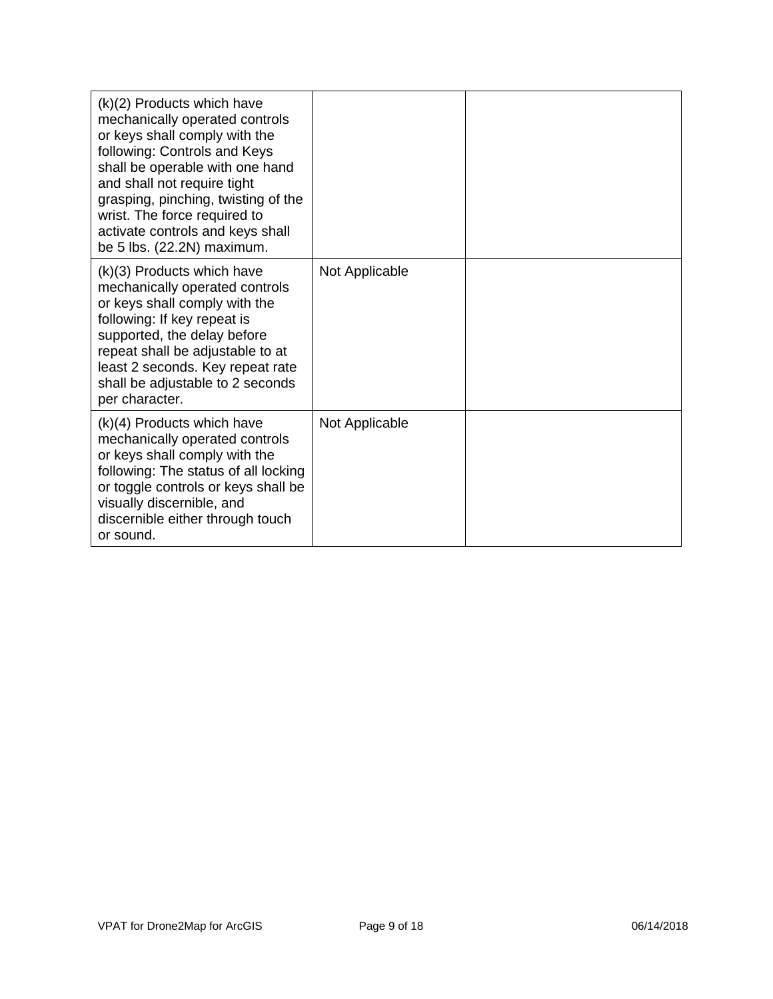| (k)(2) Products which have<br>mechanically operated controls<br>or keys shall comply with the<br>following: Controls and Keys<br>shall be operable with one hand<br>and shall not require tight<br>grasping, pinching, twisting of the<br>wrist. The force required to<br>activate controls and keys shall<br>be 5 lbs. (22.2N) maximum. |                |  |
|------------------------------------------------------------------------------------------------------------------------------------------------------------------------------------------------------------------------------------------------------------------------------------------------------------------------------------------|----------------|--|
| $(k)(3)$ Products which have<br>mechanically operated controls<br>or keys shall comply with the<br>following: If key repeat is<br>supported, the delay before<br>repeat shall be adjustable to at<br>least 2 seconds. Key repeat rate<br>shall be adjustable to 2 seconds<br>per character.                                              | Not Applicable |  |
| $(k)(4)$ Products which have<br>mechanically operated controls<br>or keys shall comply with the<br>following: The status of all locking<br>or toggle controls or keys shall be<br>visually discernible, and<br>discernible either through touch<br>or sound.                                                                             | Not Applicable |  |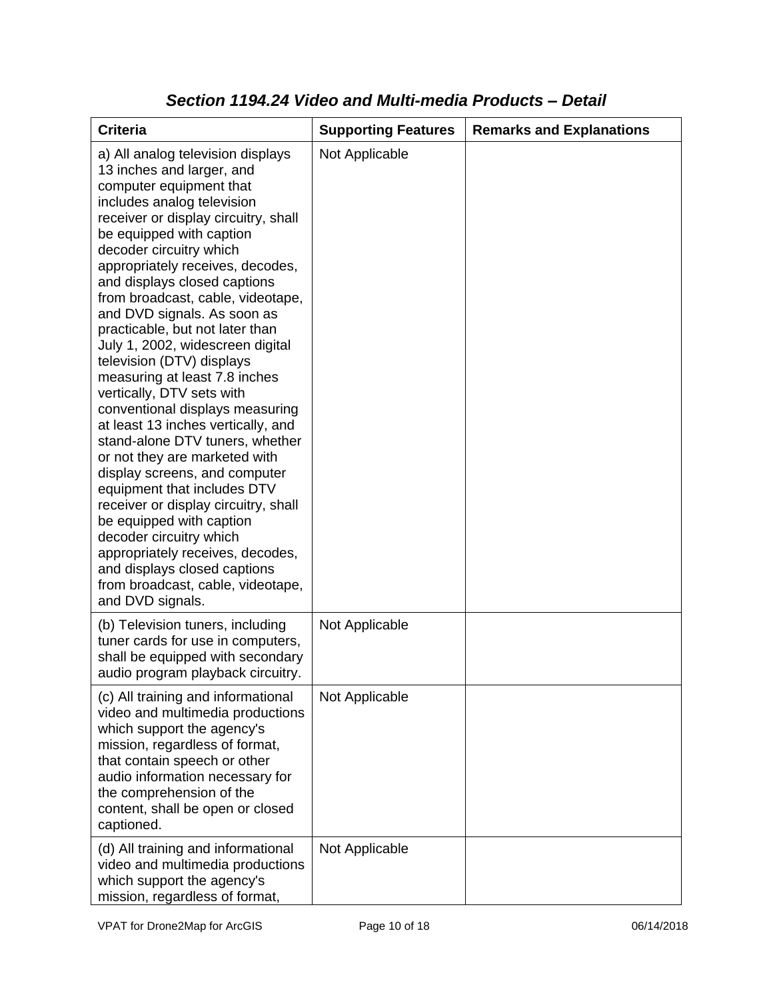| <b>Criteria</b>                                                                                                                                                                                                                                                                                                                                                                                                                                                                                                                                                                                                                                                                                                                                                                                                                                                                                                                                                           | <b>Supporting Features</b> | <b>Remarks and Explanations</b> |
|---------------------------------------------------------------------------------------------------------------------------------------------------------------------------------------------------------------------------------------------------------------------------------------------------------------------------------------------------------------------------------------------------------------------------------------------------------------------------------------------------------------------------------------------------------------------------------------------------------------------------------------------------------------------------------------------------------------------------------------------------------------------------------------------------------------------------------------------------------------------------------------------------------------------------------------------------------------------------|----------------------------|---------------------------------|
| a) All analog television displays<br>13 inches and larger, and<br>computer equipment that<br>includes analog television<br>receiver or display circuitry, shall<br>be equipped with caption<br>decoder circuitry which<br>appropriately receives, decodes,<br>and displays closed captions<br>from broadcast, cable, videotape,<br>and DVD signals. As soon as<br>practicable, but not later than<br>July 1, 2002, widescreen digital<br>television (DTV) displays<br>measuring at least 7.8 inches<br>vertically, DTV sets with<br>conventional displays measuring<br>at least 13 inches vertically, and<br>stand-alone DTV tuners, whether<br>or not they are marketed with<br>display screens, and computer<br>equipment that includes DTV<br>receiver or display circuitry, shall<br>be equipped with caption<br>decoder circuitry which<br>appropriately receives, decodes,<br>and displays closed captions<br>from broadcast, cable, videotape,<br>and DVD signals. | Not Applicable             |                                 |
| (b) Television tuners, including<br>tuner cards for use in computers,<br>shall be equipped with secondary<br>audio program playback circuitry.                                                                                                                                                                                                                                                                                                                                                                                                                                                                                                                                                                                                                                                                                                                                                                                                                            | Not Applicable             |                                 |
| (c) All training and informational<br>video and multimedia productions<br>which support the agency's<br>mission, regardless of format,<br>that contain speech or other<br>audio information necessary for<br>the comprehension of the<br>content, shall be open or closed<br>captioned.                                                                                                                                                                                                                                                                                                                                                                                                                                                                                                                                                                                                                                                                                   | Not Applicable             |                                 |
| (d) All training and informational<br>video and multimedia productions<br>which support the agency's<br>mission, regardless of format,                                                                                                                                                                                                                                                                                                                                                                                                                                                                                                                                                                                                                                                                                                                                                                                                                                    | Not Applicable             |                                 |

### *Section 1194.24 Video and Multi-media Products – Detail*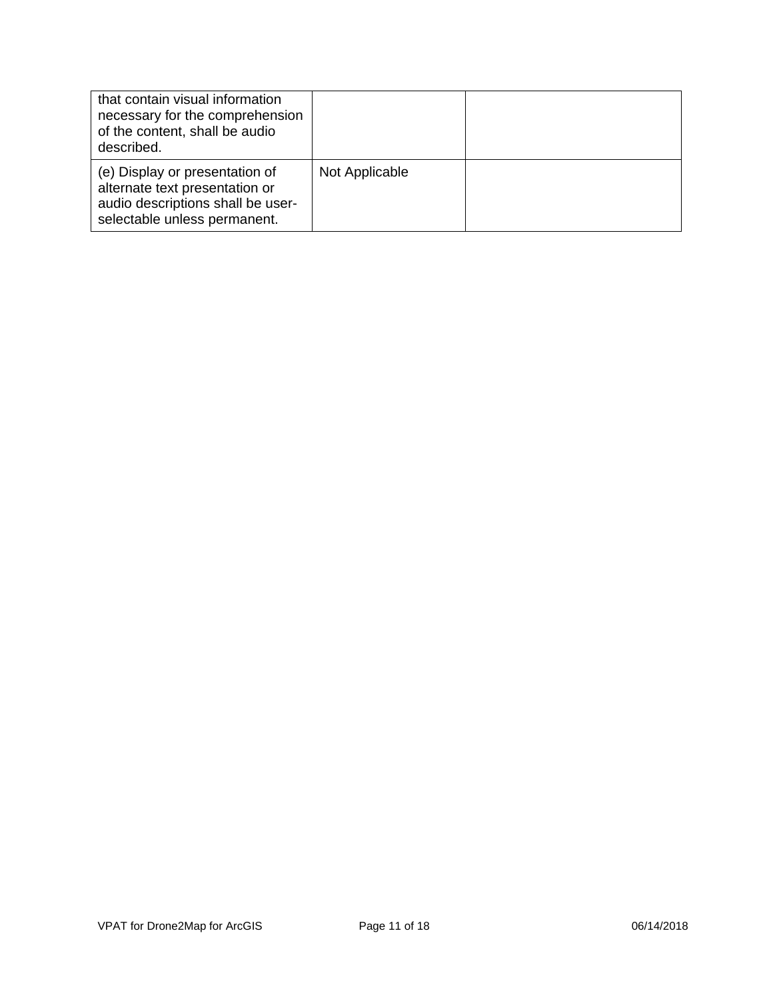| that contain visual information<br>necessary for the comprehension<br>of the content, shall be audio<br>described.                    |                |  |
|---------------------------------------------------------------------------------------------------------------------------------------|----------------|--|
| (e) Display or presentation of<br>alternate text presentation or<br>audio descriptions shall be user-<br>selectable unless permanent. | Not Applicable |  |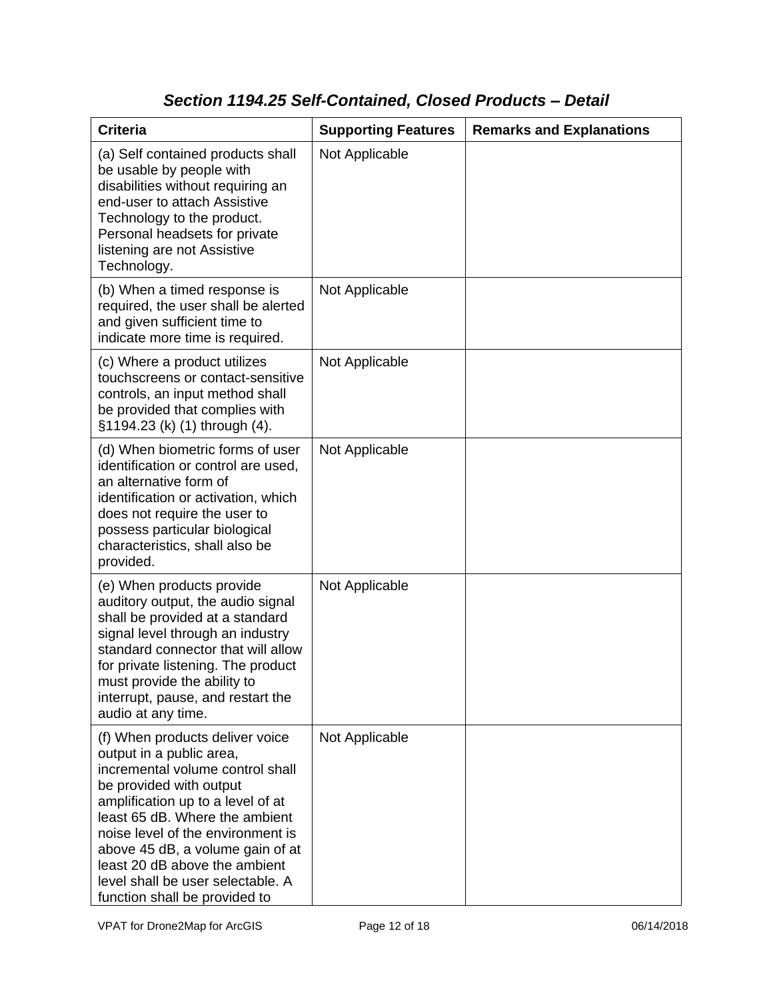# *Section 1194.25 Self-Contained, Closed Products – Detail*

| <b>Criteria</b>                                                                                                                                                                                                                                                                                                                                                                   | <b>Supporting Features</b> | <b>Remarks and Explanations</b> |
|-----------------------------------------------------------------------------------------------------------------------------------------------------------------------------------------------------------------------------------------------------------------------------------------------------------------------------------------------------------------------------------|----------------------------|---------------------------------|
| (a) Self contained products shall<br>be usable by people with<br>disabilities without requiring an<br>end-user to attach Assistive<br>Technology to the product.<br>Personal headsets for private<br>listening are not Assistive<br>Technology.                                                                                                                                   | Not Applicable             |                                 |
| (b) When a timed response is<br>required, the user shall be alerted<br>and given sufficient time to<br>indicate more time is required.                                                                                                                                                                                                                                            | Not Applicable             |                                 |
| (c) Where a product utilizes<br>touchscreens or contact-sensitive<br>controls, an input method shall<br>be provided that complies with<br>§1194.23 (k) (1) through (4).                                                                                                                                                                                                           | Not Applicable             |                                 |
| (d) When biometric forms of user<br>identification or control are used,<br>an alternative form of<br>identification or activation, which<br>does not require the user to<br>possess particular biological<br>characteristics, shall also be<br>provided.                                                                                                                          | Not Applicable             |                                 |
| (e) When products provide<br>auditory output, the audio signal<br>shall be provided at a standard<br>signal level through an industry<br>standard connector that will allow<br>for private listening. The product<br>must provide the ability to<br>interrupt, pause, and restart the<br>audio at any time.                                                                       | Not Applicable             |                                 |
| (f) When products deliver voice<br>output in a public area,<br>incremental volume control shall<br>be provided with output<br>amplification up to a level of at<br>least 65 dB. Where the ambient<br>noise level of the environment is<br>above 45 dB, a volume gain of at<br>least 20 dB above the ambient<br>level shall be user selectable. A<br>function shall be provided to | Not Applicable             |                                 |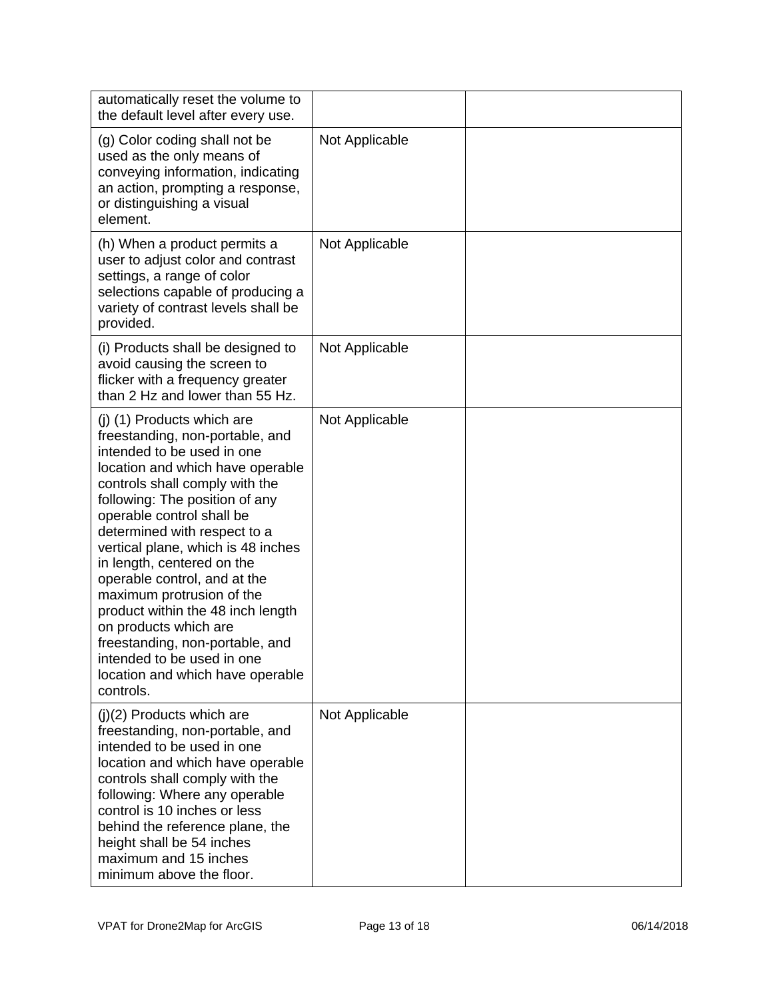| automatically reset the volume to<br>the default level after every use.                                                                                                                                                                                                                                                                                                                                                                                                                                                                                                           |                |  |
|-----------------------------------------------------------------------------------------------------------------------------------------------------------------------------------------------------------------------------------------------------------------------------------------------------------------------------------------------------------------------------------------------------------------------------------------------------------------------------------------------------------------------------------------------------------------------------------|----------------|--|
| (g) Color coding shall not be<br>used as the only means of<br>conveying information, indicating<br>an action, prompting a response,<br>or distinguishing a visual<br>element.                                                                                                                                                                                                                                                                                                                                                                                                     | Not Applicable |  |
| (h) When a product permits a<br>user to adjust color and contrast<br>settings, a range of color<br>selections capable of producing a<br>variety of contrast levels shall be<br>provided.                                                                                                                                                                                                                                                                                                                                                                                          | Not Applicable |  |
| (i) Products shall be designed to<br>avoid causing the screen to<br>flicker with a frequency greater<br>than 2 Hz and lower than 55 Hz.                                                                                                                                                                                                                                                                                                                                                                                                                                           | Not Applicable |  |
| (j) (1) Products which are<br>freestanding, non-portable, and<br>intended to be used in one<br>location and which have operable<br>controls shall comply with the<br>following: The position of any<br>operable control shall be<br>determined with respect to a<br>vertical plane, which is 48 inches<br>in length, centered on the<br>operable control, and at the<br>maximum protrusion of the<br>product within the 48 inch length<br>on products which are<br>freestanding, non-portable, and<br>intended to be used in one<br>location and which have operable<br>controls. | Not Applicable |  |
| $(i)(2)$ Products which are<br>freestanding, non-portable, and<br>intended to be used in one<br>location and which have operable<br>controls shall comply with the<br>following: Where any operable<br>control is 10 inches or less<br>behind the reference plane, the<br>height shall be 54 inches<br>maximum and 15 inches<br>minimum above the floor.                                                                                                                                                                                                                          | Not Applicable |  |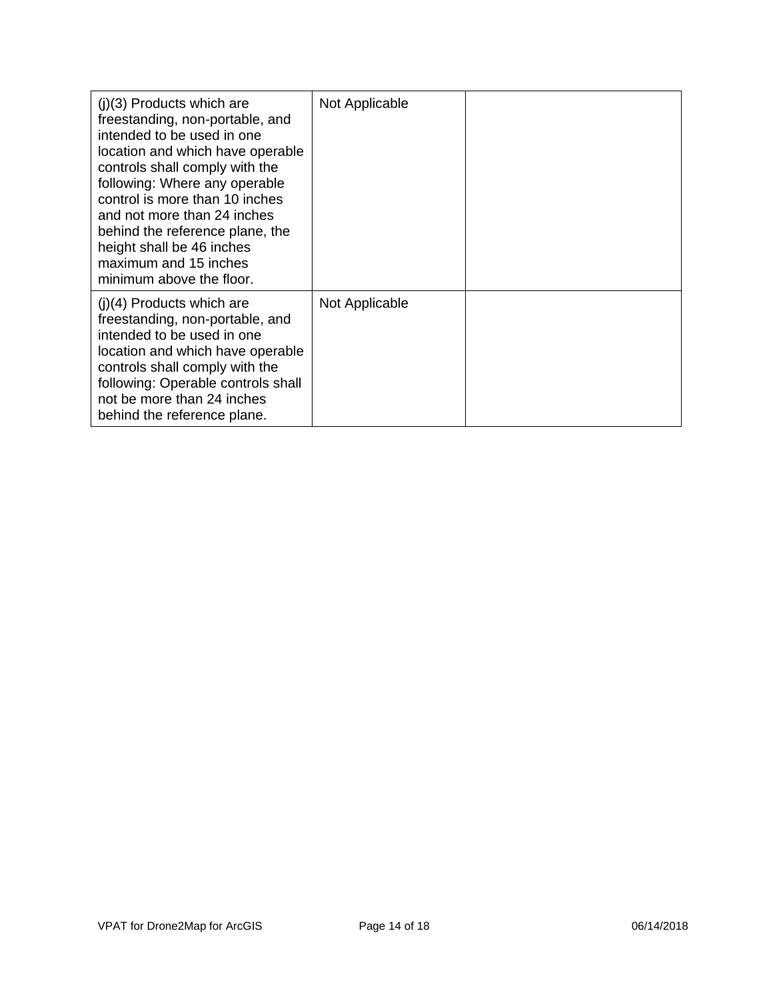| $(i)(3)$ Products which are<br>freestanding, non-portable, and<br>intended to be used in one<br>location and which have operable<br>controls shall comply with the<br>following: Where any operable<br>control is more than 10 inches<br>and not more than 24 inches<br>behind the reference plane, the<br>height shall be 46 inches<br>maximum and 15 inches<br>minimum above the floor. | Not Applicable |  |
|-------------------------------------------------------------------------------------------------------------------------------------------------------------------------------------------------------------------------------------------------------------------------------------------------------------------------------------------------------------------------------------------|----------------|--|
| $(i)(4)$ Products which are<br>freestanding, non-portable, and<br>intended to be used in one<br>location and which have operable<br>controls shall comply with the<br>following: Operable controls shall<br>not be more than 24 inches<br>behind the reference plane.                                                                                                                     | Not Applicable |  |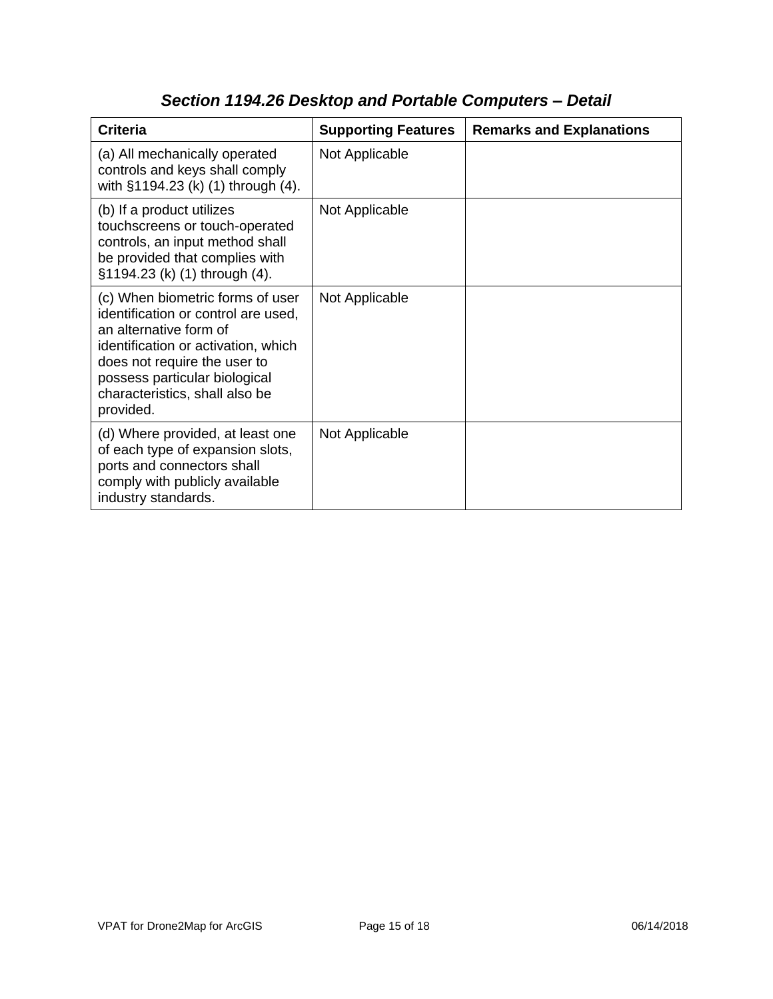| <b>Criteria</b>                                                                                                                                                                                                                                          | <b>Supporting Features</b> | <b>Remarks and Explanations</b> |
|----------------------------------------------------------------------------------------------------------------------------------------------------------------------------------------------------------------------------------------------------------|----------------------------|---------------------------------|
| (a) All mechanically operated<br>controls and keys shall comply<br>with §1194.23 (k) (1) through (4).                                                                                                                                                    | Not Applicable             |                                 |
| (b) If a product utilizes<br>touchscreens or touch-operated<br>controls, an input method shall<br>be provided that complies with<br>§1194.23 (k) (1) through (4).                                                                                        | Not Applicable             |                                 |
| (c) When biometric forms of user<br>identification or control are used,<br>an alternative form of<br>identification or activation, which<br>does not require the user to<br>possess particular biological<br>characteristics, shall also be<br>provided. | Not Applicable             |                                 |
| (d) Where provided, at least one<br>of each type of expansion slots,<br>ports and connectors shall<br>comply with publicly available<br>industry standards.                                                                                              | Not Applicable             |                                 |

# *Section 1194.26 Desktop and Portable Computers – Detail*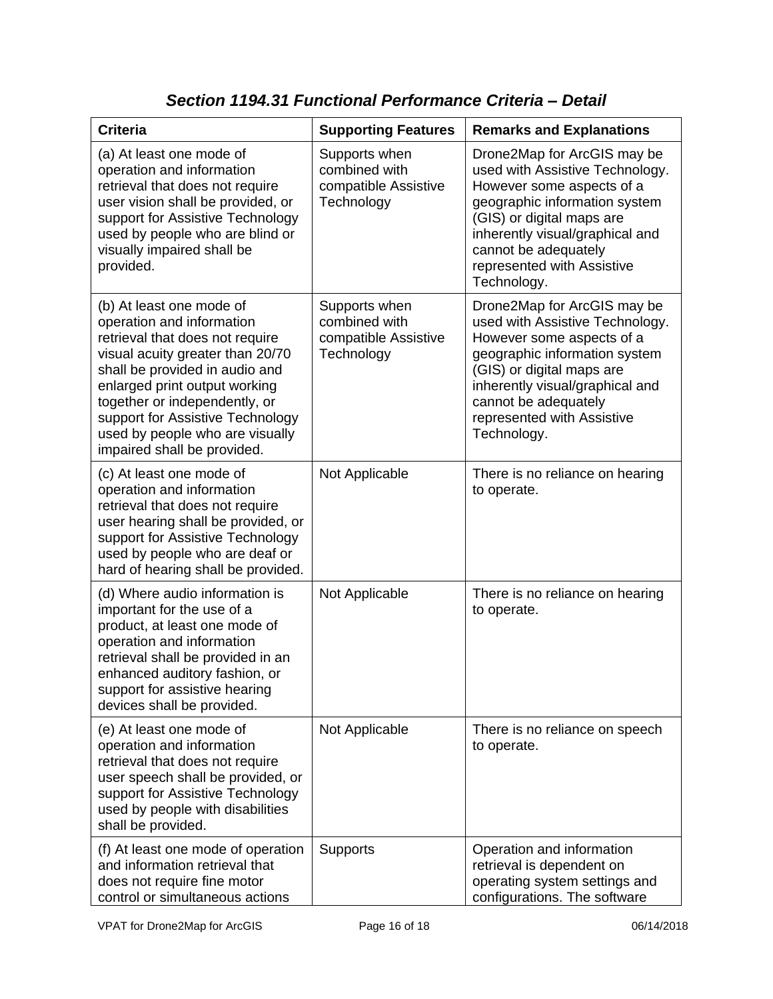| <b>Criteria</b>                                                                                                                                                                                                                                                                                                                        | <b>Supporting Features</b>                                           | <b>Remarks and Explanations</b>                                                                                                                                                                                                                                   |
|----------------------------------------------------------------------------------------------------------------------------------------------------------------------------------------------------------------------------------------------------------------------------------------------------------------------------------------|----------------------------------------------------------------------|-------------------------------------------------------------------------------------------------------------------------------------------------------------------------------------------------------------------------------------------------------------------|
| (a) At least one mode of<br>operation and information<br>retrieval that does not require<br>user vision shall be provided, or<br>support for Assistive Technology<br>used by people who are blind or<br>visually impaired shall be<br>provided.                                                                                        | Supports when<br>combined with<br>compatible Assistive<br>Technology | Drone2Map for ArcGIS may be<br>used with Assistive Technology.<br>However some aspects of a<br>geographic information system<br>(GIS) or digital maps are<br>inherently visual/graphical and<br>cannot be adequately<br>represented with Assistive<br>Technology. |
| (b) At least one mode of<br>operation and information<br>retrieval that does not require<br>visual acuity greater than 20/70<br>shall be provided in audio and<br>enlarged print output working<br>together or independently, or<br>support for Assistive Technology<br>used by people who are visually<br>impaired shall be provided. | Supports when<br>combined with<br>compatible Assistive<br>Technology | Drone2Map for ArcGIS may be<br>used with Assistive Technology.<br>However some aspects of a<br>geographic information system<br>(GIS) or digital maps are<br>inherently visual/graphical and<br>cannot be adequately<br>represented with Assistive<br>Technology. |
| (c) At least one mode of<br>operation and information<br>retrieval that does not require<br>user hearing shall be provided, or<br>support for Assistive Technology<br>used by people who are deaf or<br>hard of hearing shall be provided.                                                                                             | Not Applicable                                                       | There is no reliance on hearing<br>to operate.                                                                                                                                                                                                                    |
| (d) Where audio information is<br>important for the use of a<br>product, at least one mode of<br>operation and information<br>retrieval shall be provided in an<br>enhanced auditory fashion, or<br>support for assistive hearing<br>devices shall be provided.                                                                        | Not Applicable                                                       | There is no reliance on hearing<br>to operate.                                                                                                                                                                                                                    |
| (e) At least one mode of<br>operation and information<br>retrieval that does not require<br>user speech shall be provided, or<br>support for Assistive Technology<br>used by people with disabilities<br>shall be provided.                                                                                                            | Not Applicable                                                       | There is no reliance on speech<br>to operate.                                                                                                                                                                                                                     |
| (f) At least one mode of operation<br>and information retrieval that<br>does not require fine motor<br>control or simultaneous actions                                                                                                                                                                                                 | <b>Supports</b>                                                      | Operation and information<br>retrieval is dependent on<br>operating system settings and<br>configurations. The software                                                                                                                                           |

*Section 1194.31 Functional Performance Criteria – Detail*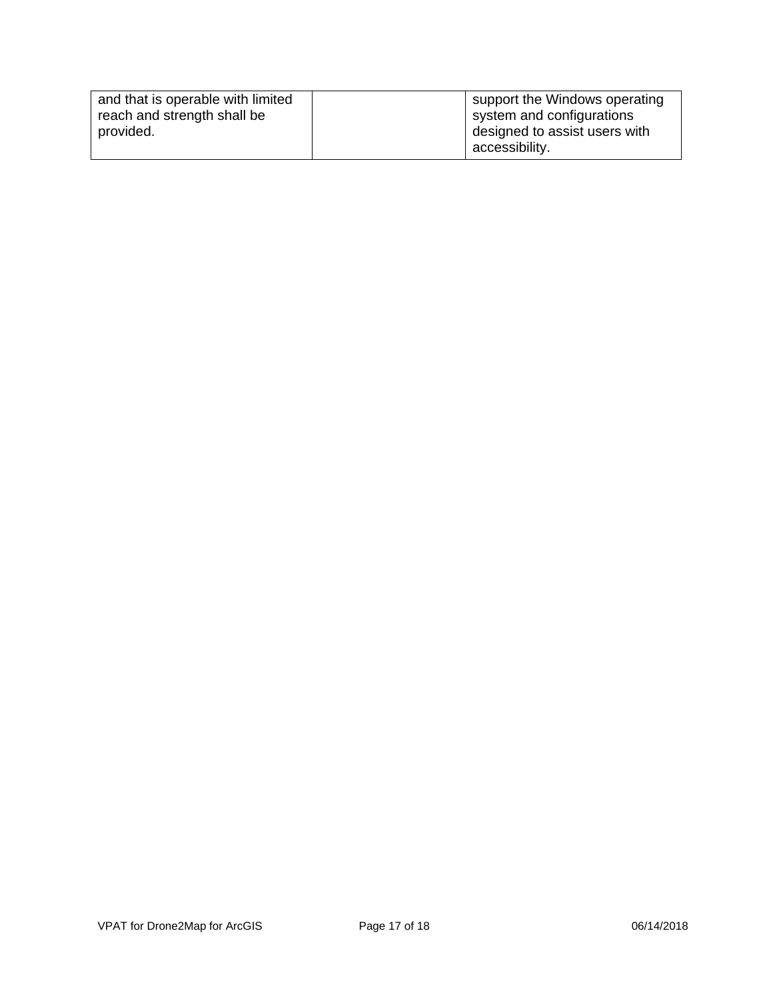| and that is operable with limited | support the Windows operating |
|-----------------------------------|-------------------------------|
| reach and strength shall be       | system and configurations     |
| provided.                         | designed to assist users with |
|                                   | accessibility.                |